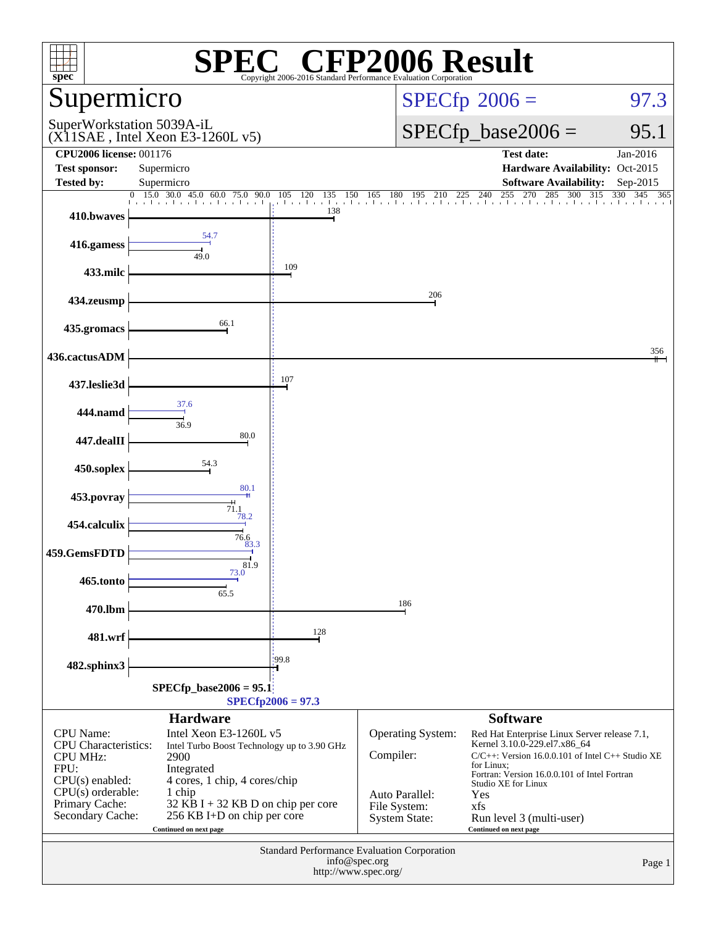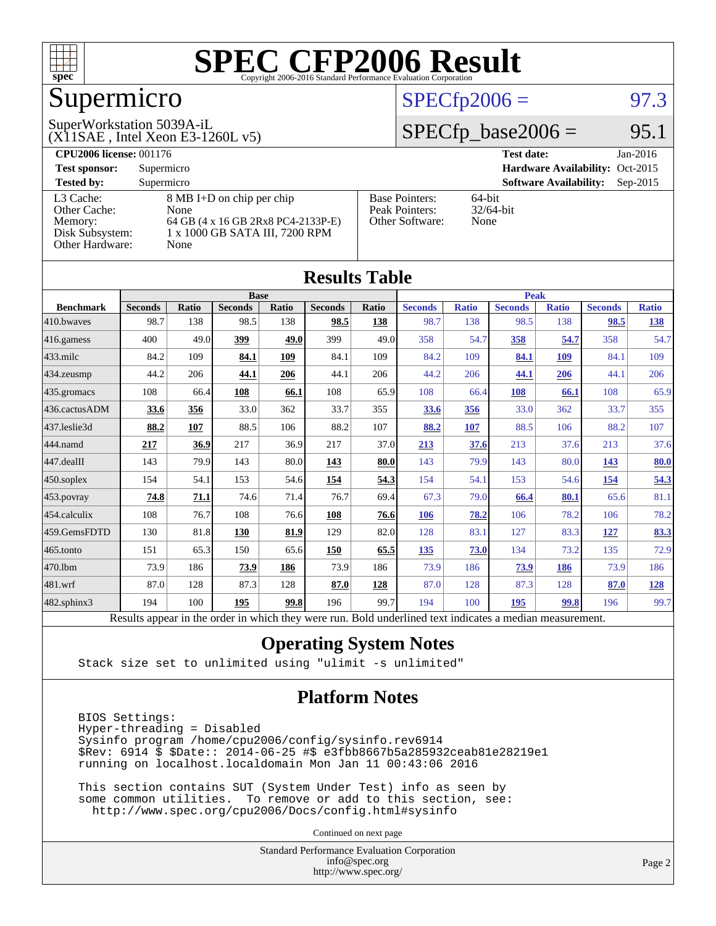

## Supermicro

#### $SPECTp2006 = 97.3$

(X11SAE , Intel Xeon E3-1260L v5) SuperWorkstation 5039A-iL

 $SPECTp\_base2006 =$  95.1

| <b>CPU2006 license: 001176</b> |                                    |                       | <b>Test date:</b><br>Jan-2016               |
|--------------------------------|------------------------------------|-----------------------|---------------------------------------------|
| <b>Test sponsor:</b>           | Supermicro                         |                       | Hardware Availability: Oct-2015             |
| <b>Tested by:</b>              | Supermicro                         |                       | <b>Software Availability:</b><br>$Sep-2015$ |
| L3 Cache:                      | 8 MB I+D on chip per chip          | <b>Base Pointers:</b> | 64-bit                                      |
| Other Cache:                   | None                               | Peak Pointers:        | $32/64$ -bit                                |
| Memory:                        | 64 GB (4 x 16 GB 2Rx8 PC4-2133P-E) | Other Software:       | None                                        |
| Disk Subsystem:                | 1 x 1000 GB SATA III, 7200 RPM     |                       |                                             |
| <b>Other Hardware:</b>         | None                               |                       |                                             |

| <b>Results Table</b> |                                                                                                          |       |                |       |                |             |                |              |                |              |                |              |
|----------------------|----------------------------------------------------------------------------------------------------------|-------|----------------|-------|----------------|-------------|----------------|--------------|----------------|--------------|----------------|--------------|
|                      | <b>Base</b>                                                                                              |       |                |       |                | <b>Peak</b> |                |              |                |              |                |              |
| <b>Benchmark</b>     | <b>Seconds</b>                                                                                           | Ratio | <b>Seconds</b> | Ratio | <b>Seconds</b> | Ratio       | <b>Seconds</b> | <b>Ratio</b> | <b>Seconds</b> | <b>Ratio</b> | <b>Seconds</b> | <b>Ratio</b> |
| 410.bwayes           | 98.7                                                                                                     | 138   | 98.5           | 138   | 98.5           | 138         | 98.7           | 138          | 98.5           | 138          | 98.5           | <u>138</u>   |
| 416.gamess           | 400                                                                                                      | 49.0  | 399            | 49.0  | 399            | 49.0        | 358            | 54.7         | 358            | 54.7         | 358            | 54.7         |
| $433$ .milc          | 84.2                                                                                                     | 109   | 84.1           | 109   | 84.1           | 109         | 84.2           | 109          | 84.1           | 109          | 84.1           | 109          |
| 434.zeusmp           | 44.2                                                                                                     | 206   | 44.1           | 206   | 44.1           | 206         | 44.2           | 206          | 44.1           | 206          | 44.1           | 206          |
| 435.gromacs          | 108                                                                                                      | 66.4  | <u>108</u>     | 66.1  | 108            | 65.9        | 108            | 66.4         | 108            | 66.1         | 108            | 65.9         |
| 436.cactusADM        | 33.6                                                                                                     | 356   | 33.0           | 362   | 33.7           | 355         | 33.6           | 356          | 33.0           | 362          | 33.7           | 355          |
| 437.leslie3d         | 88.2                                                                                                     | 107   | 88.5           | 106   | 88.2           | 107         | 88.2           | 107          | 88.5           | 106          | 88.2           | 107          |
| 444.namd             | 217                                                                                                      | 36.9  | 217            | 36.9  | 217            | 37.0        | 213            | 37.6         | 213            | 37.6         | 213            | 37.6         |
| 447.dealII           | 143                                                                                                      | 79.9  | 143            | 80.0  | 143            | 80.0        | 143            | 79.9         | 143            | 80.0         | 143            | 80.0         |
| 450.soplex           | 154                                                                                                      | 54.1  | 153            | 54.6  | 154            | 54.3        | 154            | 54.1         | 153            | 54.6         | 154            | 54.3         |
| 453.povray           | 74.8                                                                                                     | 71.1  | 74.6           | 71.4  | 76.7           | 69.4        | 67.3           | 79.0         | 66.4           | 80.1         | 65.6           | 81.1         |
| 454.calculix         | 108                                                                                                      | 76.7  | 108            | 76.6  | 108            | 76.6        | <b>106</b>     | 78.2         | 106            | 78.2         | 106            | 78.2         |
| 459.GemsFDTD         | 130                                                                                                      | 81.8  | 130            | 81.9  | 129            | 82.0        | 128            | 83.1         | 127            | 83.3         | 127            | 83.3         |
| 465.tonto            | 151                                                                                                      | 65.3  | 150            | 65.6  | 150            | 65.5        | 135            | 73.0         | 134            | 73.2         | 135            | 72.9         |
| 470.1bm              | 73.9                                                                                                     | 186   | 73.9           | 186   | 73.9           | 186         | 73.9           | 186          | 73.9           | 186          | 73.9           | 186          |
| 481.wrf              | 87.0                                                                                                     | 128   | 87.3           | 128   | 87.0           | 128         | 87.0           | 128          | 87.3           | 128          | 87.0           | 128          |
| 482.sphinx3          | 194                                                                                                      | 100   | 195            | 99.8  | 196            | 99.7        | 194            | 100          | 195            | 99.8         | 196            | 99.7         |
|                      | Results appear in the order in which they were run. Bold underlined text indicates a median measurement. |       |                |       |                |             |                |              |                |              |                |              |

#### **[Operating System Notes](http://www.spec.org/auto/cpu2006/Docs/result-fields.html#OperatingSystemNotes)**

Stack size set to unlimited using "ulimit -s unlimited"

#### **[Platform Notes](http://www.spec.org/auto/cpu2006/Docs/result-fields.html#PlatformNotes)**

 BIOS Settings: Hyper-threading = Disabled Sysinfo program /home/cpu2006/config/sysinfo.rev6914 \$Rev: 6914 \$ \$Date:: 2014-06-25 #\$ e3fbb8667b5a285932ceab81e28219e1 running on localhost.localdomain Mon Jan 11 00:43:06 2016

 This section contains SUT (System Under Test) info as seen by some common utilities. To remove or add to this section, see: <http://www.spec.org/cpu2006/Docs/config.html#sysinfo>

Continued on next page

Standard Performance Evaluation Corporation [info@spec.org](mailto:info@spec.org) <http://www.spec.org/>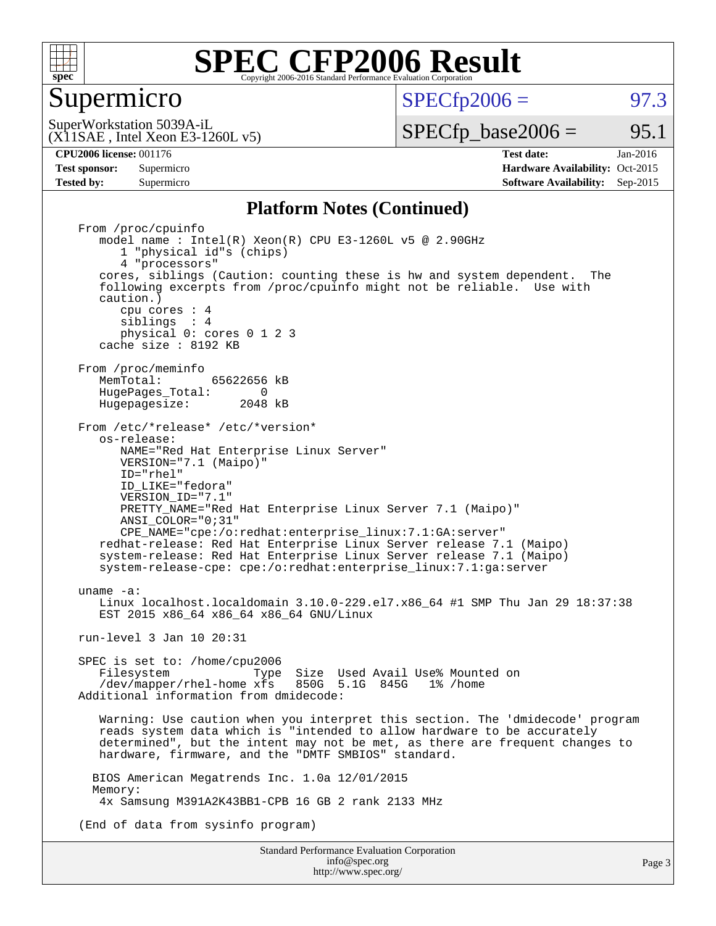

#### Supermicro

 $SPECTp2006 = 97.3$ 

(X11SAE , Intel Xeon E3-1260L v5) SuperWorkstation 5039A-iL

 $SPECTp\_base2006 =$  95.1

Page 3

**[CPU2006 license:](http://www.spec.org/auto/cpu2006/Docs/result-fields.html#CPU2006license)** 001176 **[Test date:](http://www.spec.org/auto/cpu2006/Docs/result-fields.html#Testdate)** Jan-2016 **[Test sponsor:](http://www.spec.org/auto/cpu2006/Docs/result-fields.html#Testsponsor)** Supermicro Supermicro **[Hardware Availability:](http://www.spec.org/auto/cpu2006/Docs/result-fields.html#HardwareAvailability)** Oct-2015 **[Tested by:](http://www.spec.org/auto/cpu2006/Docs/result-fields.html#Testedby)** Supermicro **Supermicro [Software Availability:](http://www.spec.org/auto/cpu2006/Docs/result-fields.html#SoftwareAvailability)** Sep-2015

#### **[Platform Notes \(Continued\)](http://www.spec.org/auto/cpu2006/Docs/result-fields.html#PlatformNotes)**

Standard Performance Evaluation Corporation From /proc/cpuinfo model name : Intel(R) Xeon(R) CPU E3-1260L v5 @ 2.90GHz 1 "physical id"s (chips) 4 "processors" cores, siblings (Caution: counting these is hw and system dependent. The following excerpts from /proc/cpuinfo might not be reliable. Use with caution.) cpu cores : 4 siblings : 4 physical 0: cores 0 1 2 3 cache size : 8192 KB From /proc/meminfo<br>MemTotal: 65622656 kB HugePages\_Total: 0<br>Hugepagesize: 2048 kB Hugepagesize: From /etc/\*release\* /etc/\*version\* os-release: NAME="Red Hat Enterprise Linux Server" VERSION="7.1 (Maipo)" ID="rhel" ID\_LIKE="fedora" VERSION\_ID="7.1" PRETTY NAME="Red Hat Enterprise Linux Server 7.1 (Maipo)" ANSI\_COLOR="0;31" CPE\_NAME="cpe:/o:redhat:enterprise\_linux:7.1:GA:server" redhat-release: Red Hat Enterprise Linux Server release 7.1 (Maipo) system-release: Red Hat Enterprise Linux Server release 7.1 (Maipo) system-release-cpe: cpe:/o:redhat:enterprise\_linux:7.1:ga:server uname -a: Linux localhost.localdomain 3.10.0-229.el7.x86\_64 #1 SMP Thu Jan 29 18:37:38 EST 2015 x86\_64 x86\_64 x86\_64 GNU/Linux run-level 3 Jan 10 20:31 SPEC is set to: /home/cpu2006<br>Filesystem Type Filesystem Type Size Used Avail Use% Mounted on /dev/mapper/rhel-home xfs 850G 5.1G 845G 1% /home Additional information from dmidecode: Warning: Use caution when you interpret this section. The 'dmidecode' program reads system data which is "intended to allow hardware to be accurately determined", but the intent may not be met, as there are frequent changes to hardware, firmware, and the "DMTF SMBIOS" standard. BIOS American Megatrends Inc. 1.0a 12/01/2015 Memory: 4x Samsung M391A2K43BB1-CPB 16 GB 2 rank 2133 MHz (End of data from sysinfo program)

> [info@spec.org](mailto:info@spec.org) <http://www.spec.org/>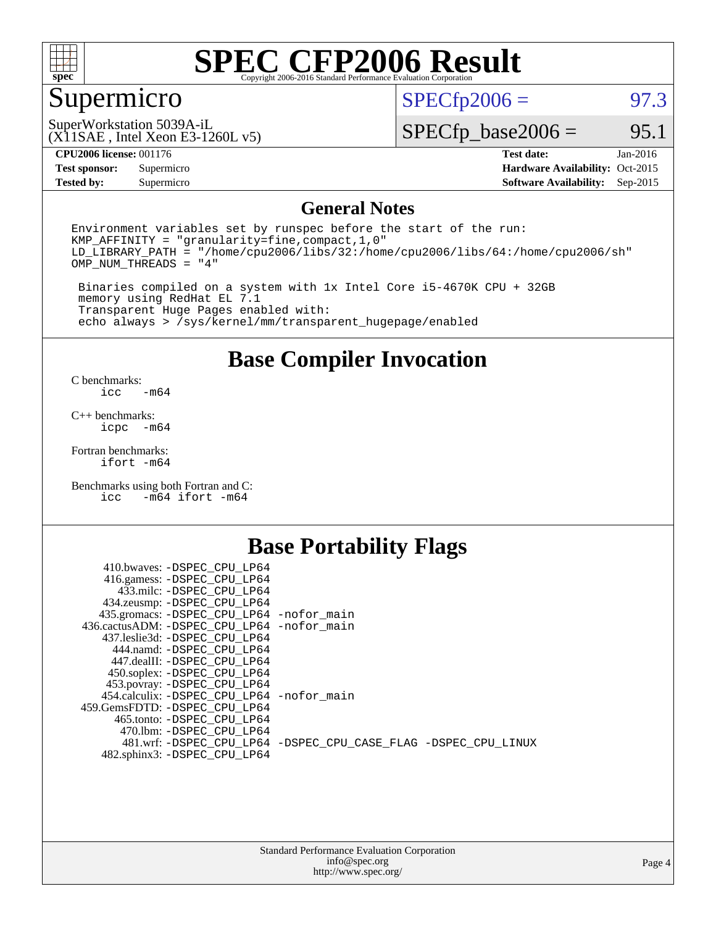

### Supermicro

 $SPECTp2006 = 97.3$ 

(X11SAE , Intel Xeon E3-1260L v5) SuperWorkstation 5039A-iL

 $SPECTp\_base2006 =$  95.1

| <b>CPU2006 license: 001176</b> |  |
|--------------------------------|--|
|--------------------------------|--|

**[Tested by:](http://www.spec.org/auto/cpu2006/Docs/result-fields.html#Testedby)** Supermicro **Supermicro [Software Availability:](http://www.spec.org/auto/cpu2006/Docs/result-fields.html#SoftwareAvailability)** Sep-2015

**[CPU2006 license:](http://www.spec.org/auto/cpu2006/Docs/result-fields.html#CPU2006license)** 001176 **[Test date:](http://www.spec.org/auto/cpu2006/Docs/result-fields.html#Testdate)** Jan-2016 **[Test sponsor:](http://www.spec.org/auto/cpu2006/Docs/result-fields.html#Testsponsor)** Supermicro Supermicro **[Hardware Availability:](http://www.spec.org/auto/cpu2006/Docs/result-fields.html#HardwareAvailability)** Oct-2015

#### **[General Notes](http://www.spec.org/auto/cpu2006/Docs/result-fields.html#GeneralNotes)**

Environment variables set by runspec before the start of the run: KMP\_AFFINITY = "granularity=fine,compact,1,0" LD\_LIBRARY\_PATH = "/home/cpu2006/libs/32:/home/cpu2006/libs/64:/home/cpu2006/sh" OMP\_NUM\_THREADS = "4"

 Binaries compiled on a system with 1x Intel Core i5-4670K CPU + 32GB memory using RedHat EL 7.1 Transparent Huge Pages enabled with: echo always > /sys/kernel/mm/transparent\_hugepage/enabled

#### **[Base Compiler Invocation](http://www.spec.org/auto/cpu2006/Docs/result-fields.html#BaseCompilerInvocation)**

[C benchmarks](http://www.spec.org/auto/cpu2006/Docs/result-fields.html#Cbenchmarks):  $-m64$ 

[C++ benchmarks:](http://www.spec.org/auto/cpu2006/Docs/result-fields.html#CXXbenchmarks) [icpc -m64](http://www.spec.org/cpu2006/results/res2016q1/cpu2006-20160120-38756.flags.html#user_CXXbase_intel_icpc_64bit_bedb90c1146cab66620883ef4f41a67e)

[Fortran benchmarks](http://www.spec.org/auto/cpu2006/Docs/result-fields.html#Fortranbenchmarks): [ifort -m64](http://www.spec.org/cpu2006/results/res2016q1/cpu2006-20160120-38756.flags.html#user_FCbase_intel_ifort_64bit_ee9d0fb25645d0210d97eb0527dcc06e)

[Benchmarks using both Fortran and C](http://www.spec.org/auto/cpu2006/Docs/result-fields.html#BenchmarksusingbothFortranandC): [icc -m64](http://www.spec.org/cpu2006/results/res2016q1/cpu2006-20160120-38756.flags.html#user_CC_FCbase_intel_icc_64bit_0b7121f5ab7cfabee23d88897260401c) [ifort -m64](http://www.spec.org/cpu2006/results/res2016q1/cpu2006-20160120-38756.flags.html#user_CC_FCbase_intel_ifort_64bit_ee9d0fb25645d0210d97eb0527dcc06e)

### **[Base Portability Flags](http://www.spec.org/auto/cpu2006/Docs/result-fields.html#BasePortabilityFlags)**

| 410.bwaves: -DSPEC CPU LP64                 |                                                                |
|---------------------------------------------|----------------------------------------------------------------|
| 416.gamess: -DSPEC_CPU_LP64                 |                                                                |
| 433.milc: -DSPEC CPU LP64                   |                                                                |
| 434.zeusmp: -DSPEC_CPU_LP64                 |                                                                |
| 435.gromacs: -DSPEC_CPU_LP64 -nofor_main    |                                                                |
| 436.cactusADM: -DSPEC CPU LP64 -nofor main  |                                                                |
| 437.leslie3d: -DSPEC CPU LP64               |                                                                |
| 444.namd: -DSPEC CPU LP64                   |                                                                |
| 447.dealII: -DSPEC CPU LP64                 |                                                                |
| 450.soplex: -DSPEC_CPU_LP64                 |                                                                |
| 453.povray: -DSPEC_CPU_LP64                 |                                                                |
| 454.calculix: - DSPEC CPU LP64 - nofor main |                                                                |
| 459.GemsFDTD: -DSPEC_CPU_LP64               |                                                                |
| 465.tonto: - DSPEC CPU LP64                 |                                                                |
| 470.1bm: - DSPEC CPU LP64                   |                                                                |
|                                             | 481.wrf: -DSPEC CPU_LP64 -DSPEC_CPU_CASE_FLAG -DSPEC_CPU_LINUX |
| 482.sphinx3: -DSPEC_CPU_LP64                |                                                                |
|                                             |                                                                |

| <b>Standard Performance Evaluation Corporation</b> |
|----------------------------------------------------|
| info@spec.org                                      |
| http://www.spec.org/                               |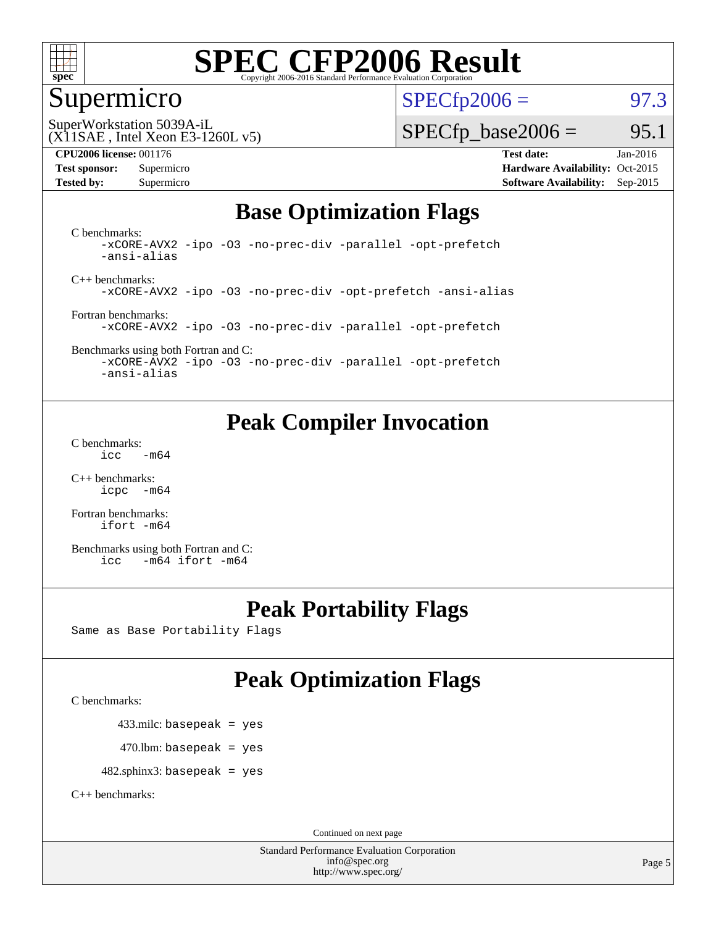

#### Supermicro

 $SPECTp2006 = 97.3$ 

(X11SAE , Intel Xeon E3-1260L v5) SuperWorkstation 5039A-iL

#### **[CPU2006 license:](http://www.spec.org/auto/cpu2006/Docs/result-fields.html#CPU2006license)** 001176 **[Test date:](http://www.spec.org/auto/cpu2006/Docs/result-fields.html#Testdate)** Jan-2016

 $SPECTp\_base2006 =$  95.1

**[Test sponsor:](http://www.spec.org/auto/cpu2006/Docs/result-fields.html#Testsponsor)** Supermicro Supermicro **[Hardware Availability:](http://www.spec.org/auto/cpu2006/Docs/result-fields.html#HardwareAvailability)** Oct-2015 **[Tested by:](http://www.spec.org/auto/cpu2006/Docs/result-fields.html#Testedby)** Supermicro **Supermicro [Software Availability:](http://www.spec.org/auto/cpu2006/Docs/result-fields.html#SoftwareAvailability)** Sep-2015

### **[Base Optimization Flags](http://www.spec.org/auto/cpu2006/Docs/result-fields.html#BaseOptimizationFlags)**

[C benchmarks](http://www.spec.org/auto/cpu2006/Docs/result-fields.html#Cbenchmarks): [-xCORE-AVX2](http://www.spec.org/cpu2006/results/res2016q1/cpu2006-20160120-38756.flags.html#user_CCbase_f-xAVX2_5f5fc0cbe2c9f62c816d3e45806c70d7) [-ipo](http://www.spec.org/cpu2006/results/res2016q1/cpu2006-20160120-38756.flags.html#user_CCbase_f-ipo) [-O3](http://www.spec.org/cpu2006/results/res2016q1/cpu2006-20160120-38756.flags.html#user_CCbase_f-O3) [-no-prec-div](http://www.spec.org/cpu2006/results/res2016q1/cpu2006-20160120-38756.flags.html#user_CCbase_f-no-prec-div) [-parallel](http://www.spec.org/cpu2006/results/res2016q1/cpu2006-20160120-38756.flags.html#user_CCbase_f-parallel) [-opt-prefetch](http://www.spec.org/cpu2006/results/res2016q1/cpu2006-20160120-38756.flags.html#user_CCbase_f-opt-prefetch) [-ansi-alias](http://www.spec.org/cpu2006/results/res2016q1/cpu2006-20160120-38756.flags.html#user_CCbase_f-ansi-alias)

[C++ benchmarks:](http://www.spec.org/auto/cpu2006/Docs/result-fields.html#CXXbenchmarks) [-xCORE-AVX2](http://www.spec.org/cpu2006/results/res2016q1/cpu2006-20160120-38756.flags.html#user_CXXbase_f-xAVX2_5f5fc0cbe2c9f62c816d3e45806c70d7) [-ipo](http://www.spec.org/cpu2006/results/res2016q1/cpu2006-20160120-38756.flags.html#user_CXXbase_f-ipo) [-O3](http://www.spec.org/cpu2006/results/res2016q1/cpu2006-20160120-38756.flags.html#user_CXXbase_f-O3) [-no-prec-div](http://www.spec.org/cpu2006/results/res2016q1/cpu2006-20160120-38756.flags.html#user_CXXbase_f-no-prec-div) [-opt-prefetch](http://www.spec.org/cpu2006/results/res2016q1/cpu2006-20160120-38756.flags.html#user_CXXbase_f-opt-prefetch) [-ansi-alias](http://www.spec.org/cpu2006/results/res2016q1/cpu2006-20160120-38756.flags.html#user_CXXbase_f-ansi-alias)

[Fortran benchmarks](http://www.spec.org/auto/cpu2006/Docs/result-fields.html#Fortranbenchmarks): [-xCORE-AVX2](http://www.spec.org/cpu2006/results/res2016q1/cpu2006-20160120-38756.flags.html#user_FCbase_f-xAVX2_5f5fc0cbe2c9f62c816d3e45806c70d7) [-ipo](http://www.spec.org/cpu2006/results/res2016q1/cpu2006-20160120-38756.flags.html#user_FCbase_f-ipo) [-O3](http://www.spec.org/cpu2006/results/res2016q1/cpu2006-20160120-38756.flags.html#user_FCbase_f-O3) [-no-prec-div](http://www.spec.org/cpu2006/results/res2016q1/cpu2006-20160120-38756.flags.html#user_FCbase_f-no-prec-div) [-parallel](http://www.spec.org/cpu2006/results/res2016q1/cpu2006-20160120-38756.flags.html#user_FCbase_f-parallel) [-opt-prefetch](http://www.spec.org/cpu2006/results/res2016q1/cpu2006-20160120-38756.flags.html#user_FCbase_f-opt-prefetch)

[Benchmarks using both Fortran and C](http://www.spec.org/auto/cpu2006/Docs/result-fields.html#BenchmarksusingbothFortranandC): [-xCORE-AVX2](http://www.spec.org/cpu2006/results/res2016q1/cpu2006-20160120-38756.flags.html#user_CC_FCbase_f-xAVX2_5f5fc0cbe2c9f62c816d3e45806c70d7) [-ipo](http://www.spec.org/cpu2006/results/res2016q1/cpu2006-20160120-38756.flags.html#user_CC_FCbase_f-ipo) [-O3](http://www.spec.org/cpu2006/results/res2016q1/cpu2006-20160120-38756.flags.html#user_CC_FCbase_f-O3) [-no-prec-div](http://www.spec.org/cpu2006/results/res2016q1/cpu2006-20160120-38756.flags.html#user_CC_FCbase_f-no-prec-div) [-parallel](http://www.spec.org/cpu2006/results/res2016q1/cpu2006-20160120-38756.flags.html#user_CC_FCbase_f-parallel) [-opt-prefetch](http://www.spec.org/cpu2006/results/res2016q1/cpu2006-20160120-38756.flags.html#user_CC_FCbase_f-opt-prefetch)

[-ansi-alias](http://www.spec.org/cpu2006/results/res2016q1/cpu2006-20160120-38756.flags.html#user_CC_FCbase_f-ansi-alias)

### **[Peak Compiler Invocation](http://www.spec.org/auto/cpu2006/Docs/result-fields.html#PeakCompilerInvocation)**

[C benchmarks](http://www.spec.org/auto/cpu2006/Docs/result-fields.html#Cbenchmarks):  $\text{icc}$   $-\text{m64}$ 

[C++ benchmarks:](http://www.spec.org/auto/cpu2006/Docs/result-fields.html#CXXbenchmarks) [icpc -m64](http://www.spec.org/cpu2006/results/res2016q1/cpu2006-20160120-38756.flags.html#user_CXXpeak_intel_icpc_64bit_bedb90c1146cab66620883ef4f41a67e)

[Fortran benchmarks](http://www.spec.org/auto/cpu2006/Docs/result-fields.html#Fortranbenchmarks): [ifort -m64](http://www.spec.org/cpu2006/results/res2016q1/cpu2006-20160120-38756.flags.html#user_FCpeak_intel_ifort_64bit_ee9d0fb25645d0210d97eb0527dcc06e)

[Benchmarks using both Fortran and C](http://www.spec.org/auto/cpu2006/Docs/result-fields.html#BenchmarksusingbothFortranandC): [icc -m64](http://www.spec.org/cpu2006/results/res2016q1/cpu2006-20160120-38756.flags.html#user_CC_FCpeak_intel_icc_64bit_0b7121f5ab7cfabee23d88897260401c) [ifort -m64](http://www.spec.org/cpu2006/results/res2016q1/cpu2006-20160120-38756.flags.html#user_CC_FCpeak_intel_ifort_64bit_ee9d0fb25645d0210d97eb0527dcc06e)

### **[Peak Portability Flags](http://www.spec.org/auto/cpu2006/Docs/result-fields.html#PeakPortabilityFlags)**

Same as Base Portability Flags

### **[Peak Optimization Flags](http://www.spec.org/auto/cpu2006/Docs/result-fields.html#PeakOptimizationFlags)**

[C benchmarks](http://www.spec.org/auto/cpu2006/Docs/result-fields.html#Cbenchmarks):

433.milc: basepeak = yes

 $470.$ lbm: basepeak = yes

482.sphinx3: basepeak = yes

[C++ benchmarks:](http://www.spec.org/auto/cpu2006/Docs/result-fields.html#CXXbenchmarks)

Continued on next page

Standard Performance Evaluation Corporation [info@spec.org](mailto:info@spec.org) <http://www.spec.org/>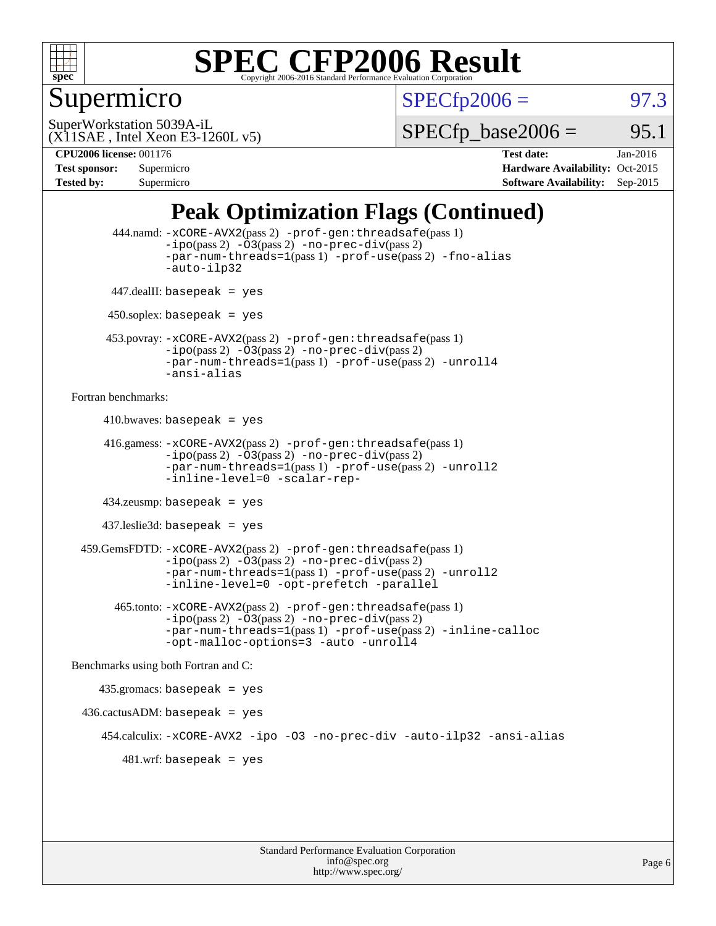

### Supermicro

 $SPECTp2006 = 97.3$ 

(X11SAE , Intel Xeon E3-1260L v5) SuperWorkstation 5039A-iL

 $SPECTp\_base2006 =$  95.1

**[CPU2006 license:](http://www.spec.org/auto/cpu2006/Docs/result-fields.html#CPU2006license)** 001176 **[Test date:](http://www.spec.org/auto/cpu2006/Docs/result-fields.html#Testdate)** Jan-2016 **[Test sponsor:](http://www.spec.org/auto/cpu2006/Docs/result-fields.html#Testsponsor)** Supermicro Supermicro **[Hardware Availability:](http://www.spec.org/auto/cpu2006/Docs/result-fields.html#HardwareAvailability)** Oct-2015 **[Tested by:](http://www.spec.org/auto/cpu2006/Docs/result-fields.html#Testedby)** Supermicro **Supermicro [Software Availability:](http://www.spec.org/auto/cpu2006/Docs/result-fields.html#SoftwareAvailability)** Sep-2015

### **[Peak Optimization Flags \(Continued\)](http://www.spec.org/auto/cpu2006/Docs/result-fields.html#PeakOptimizationFlags)**

```
 444.namd: -xCORE-AVX2(pass 2) -prof-gen:threadsafe(pass 1)
               -ipo(pass 2) -03(pass 2) -no-prec-div(pass 2)
               -par-num-threads=1(pass 1) -prof-use(pass 2) -fno-alias
               -auto-ilp32
      447.dealII: basepeak = yes
      450.soplex: basepeak = yes
      453.povray: -xCORE-AVX2(pass 2) -prof-gen:threadsafe(pass 1)
               -no-prec-div(pass 2)-par-num-threads=1(pass 1) -prof-use(pass 2) -unroll4
               -ansi-alias
Fortran benchmarks: 
     410.bwaves: basepeak = yes 416.gamess: -xCORE-AVX2(pass 2) -prof-gen:threadsafe(pass 1)
               -ipo(pass 2) -03(pass 2) -no-prec-div(pass 2)-par-num-threads=1(pass 1) -prof-use(pass 2) -unroll2
               -inline-level=0 -scalar-rep-
      434.zeusmp: basepeak = yes
     437.leslie3d: basepeak = yes
  459.GemsFDTD: -xCORE-AVX2(pass 2) -prof-gen:threadsafe(pass 1)
               -i\text{po}(pass 2) -\tilde{O}3(pass 2)-no-prec-div(pass 2)
               -par-num-threads=1(pass 1) -prof-use(pass 2) -unroll2
               -inline-level=0 -opt-prefetch -parallel
        465.tonto: -xCORE-AVX2(pass 2) -prof-gen:threadsafe(pass 1)
               -no-prec-div(pass 2)-par-num-threads=1(pass 1) -prof-use(pass 2) -inline-calloc
               -opt-malloc-options=3 -auto -unroll4
Benchmarks using both Fortran and C: 
     435.gromacs: basepeak = yes
 436.cactusADM:basepeak = yes 454.calculix: -xCORE-AVX2 -ipo -O3 -no-prec-div -auto-ilp32 -ansi-alias
        481 \text{.m}: basepeak = yes
```